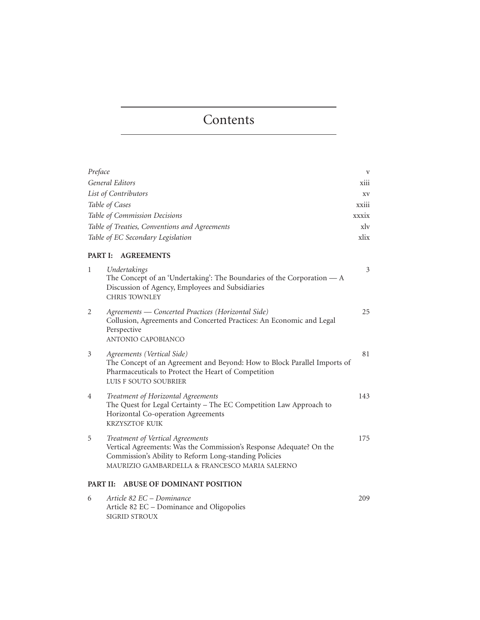## **Contents**

| Preface         |                                                                                                                                                                                                                    | V                |
|-----------------|--------------------------------------------------------------------------------------------------------------------------------------------------------------------------------------------------------------------|------------------|
|                 | <b>General Editors</b>                                                                                                                                                                                             | xiii             |
|                 | List of Contributors                                                                                                                                                                                               | XV               |
|                 | Table of Cases                                                                                                                                                                                                     | xxiii            |
|                 | Table of Commission Decisions                                                                                                                                                                                      | xxxix            |
|                 | Table of Treaties, Conventions and Agreements                                                                                                                                                                      | $x$ <sub>l</sub> |
|                 | Table of EC Secondary Legislation                                                                                                                                                                                  | xlix             |
| <b>PART I:</b>  | <b>AGREEMENTS</b>                                                                                                                                                                                                  |                  |
| 1               | Undertakings<br>The Concept of an 'Undertaking': The Boundaries of the Corporation $-A$<br>Discussion of Agency, Employees and Subsidiaries<br><b>CHRIS TOWNLEY</b>                                                | 3                |
| 2               | Agreements — Concerted Practices (Horizontal Side)<br>Collusion, Agreements and Concerted Practices: An Economic and Legal<br>Perspective<br><b>ANTONIO CAPOBIANCO</b>                                             | 25               |
| 3               | Agreements (Vertical Side)<br>The Concept of an Agreement and Beyond: How to Block Parallel Imports of<br>Pharmaceuticals to Protect the Heart of Competition<br>LUIS F SOUTO SOUBRIER                             | 81               |
| 4               | Treatment of Horizontal Agreements<br>The Quest for Legal Certainty - The EC Competition Law Approach to<br>Horizontal Co-operation Agreements<br><b>KRZYSZTOF KUIK</b>                                            | 143              |
| 5               | Treatment of Vertical Agreements<br>Vertical Agreements: Was the Commission's Response Adequate? On the<br>Commission's Ability to Reform Long-standing Policies<br>MAURIZIO GAMBARDELLA & FRANCESCO MARIA SALERNO | 175              |
| <b>PART II:</b> | <b>ABUSE OF DOMINANT POSITION</b>                                                                                                                                                                                  |                  |
| 6               | Article 82 EC – Dominance<br>Article 82 EC - Dominance and Oligopolies                                                                                                                                             | 209              |

SIGRID STROUX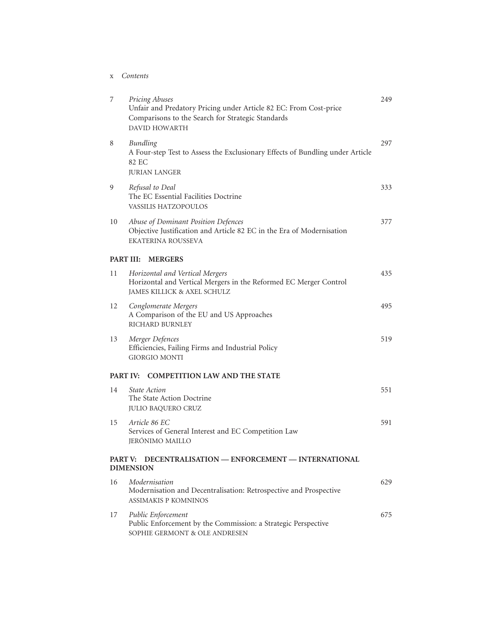x *Contents*

| 7                                                       | Pricing Abuses<br>Unfair and Predatory Pricing under Article 82 EC: From Cost-price<br>Comparisons to the Search for Strategic Standards<br><b>DAVID HOWARTH</b> | 249 |  |  |  |  |
|---------------------------------------------------------|------------------------------------------------------------------------------------------------------------------------------------------------------------------|-----|--|--|--|--|
| 8                                                       | <b>Bundling</b><br>A Four-step Test to Assess the Exclusionary Effects of Bundling under Article<br>82 EC<br><b>JURIAN LANGER</b>                                | 297 |  |  |  |  |
| 9                                                       | Refusal to Deal<br>The EC Essential Facilities Doctrine<br><b>VASSILIS HATZOPOULOS</b>                                                                           | 333 |  |  |  |  |
| 10                                                      | Abuse of Dominant Position Defences<br>Objective Justification and Article 82 EC in the Era of Modernisation<br><b>EKATERINA ROUSSEVA</b>                        | 377 |  |  |  |  |
| PART III: MERGERS                                       |                                                                                                                                                                  |     |  |  |  |  |
| 11                                                      | Horizontal and Vertical Mergers<br>Horizontal and Vertical Mergers in the Reformed EC Merger Control<br>JAMES KILLICK & AXEL SCHULZ                              | 435 |  |  |  |  |
| 12                                                      | Conglomerate Mergers<br>A Comparison of the EU and US Approaches<br>RICHARD BURNLEY                                                                              | 495 |  |  |  |  |
| 13                                                      | Merger Defences<br>Efficiencies, Failing Firms and Industrial Policy<br><b>GIORGIO MONTI</b>                                                                     | 519 |  |  |  |  |
| <b>COMPETITION LAW AND THE STATE</b><br><b>PART IV:</b> |                                                                                                                                                                  |     |  |  |  |  |
| 14                                                      | <i>State Action</i><br>The State Action Doctrine<br><b>JULIO BAQUERO CRUZ</b>                                                                                    | 551 |  |  |  |  |
| 15                                                      | Article 86 EC<br>Services of General Interest and EC Competition Law<br>JERÓNIMO MAILLO                                                                          | 591 |  |  |  |  |
|                                                         | DECENTRALISATION - ENFORCEMENT - INTERNATIONAL<br>PART V:<br><b>DIMENSION</b>                                                                                    |     |  |  |  |  |
| 16                                                      | Modernisation<br>Modernisation and Decentralisation: Retrospective and Prospective<br><b>ASSIMAKIS P KOMNINOS</b>                                                | 629 |  |  |  |  |
| 17                                                      | Public Enforcement<br>Public Enforcement by the Commission: a Strategic Perspective<br>SOPHIE GERMONT & OLE ANDRESEN                                             | 675 |  |  |  |  |